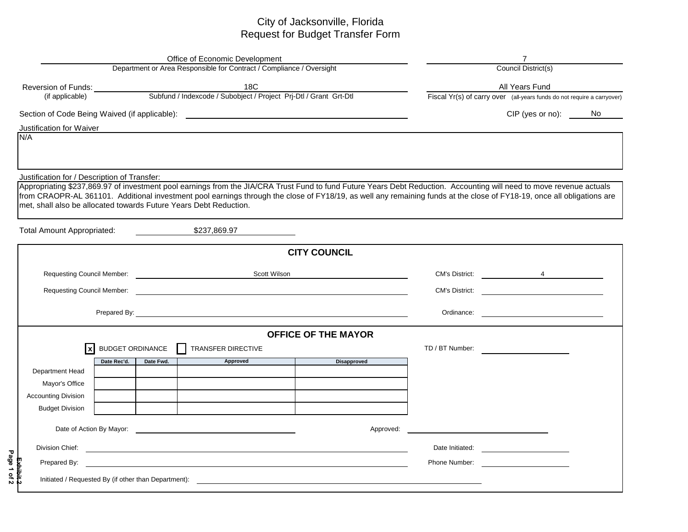## City of Jacksonville, Florida Request for Budget Transfer Form

| <b>Office of Economic Development</b><br>Department or Area Responsible for Contract / Compliance / Oversight |                         |                                                                                                                      |                                                                                                                                                                        |                       |                                                                                                                                                                                                                                      |  |  |  |  |  |
|---------------------------------------------------------------------------------------------------------------|-------------------------|----------------------------------------------------------------------------------------------------------------------|------------------------------------------------------------------------------------------------------------------------------------------------------------------------|-----------------------|--------------------------------------------------------------------------------------------------------------------------------------------------------------------------------------------------------------------------------------|--|--|--|--|--|
|                                                                                                               |                         | Council District(s)                                                                                                  |                                                                                                                                                                        |                       |                                                                                                                                                                                                                                      |  |  |  |  |  |
|                                                                                                               |                         |                                                                                                                      |                                                                                                                                                                        |                       | All Years Fund                                                                                                                                                                                                                       |  |  |  |  |  |
|                                                                                                               |                         |                                                                                                                      |                                                                                                                                                                        |                       | Fiscal Yr(s) of carry over (all-years funds do not require a carryover)                                                                                                                                                              |  |  |  |  |  |
| Section of Code Being Waived (if applicable): ___________________________________                             |                         |                                                                                                                      | CIP (yes or no):                                                                                                                                                       | No.                   |                                                                                                                                                                                                                                      |  |  |  |  |  |
| Justification for Waiver                                                                                      |                         |                                                                                                                      |                                                                                                                                                                        |                       |                                                                                                                                                                                                                                      |  |  |  |  |  |
| N/A                                                                                                           |                         |                                                                                                                      |                                                                                                                                                                        |                       |                                                                                                                                                                                                                                      |  |  |  |  |  |
|                                                                                                               |                         |                                                                                                                      |                                                                                                                                                                        |                       |                                                                                                                                                                                                                                      |  |  |  |  |  |
| Justification for / Description of Transfer:                                                                  |                         |                                                                                                                      |                                                                                                                                                                        |                       |                                                                                                                                                                                                                                      |  |  |  |  |  |
|                                                                                                               |                         |                                                                                                                      | Appropriating \$237,869.97 of investment pool earnings from the JIA/CRA Trust Fund to fund Future Years Debt Reduction. Accounting will need to move revenue actuals   |                       |                                                                                                                                                                                                                                      |  |  |  |  |  |
| met, shall also be allocated towards Future Years Debt Reduction.                                             |                         |                                                                                                                      | from CRAOPR-AL 361101. Additional investment pool earnings through the close of FY18/19, as well any remaining funds at the close of FY18-19, once all obligations are |                       |                                                                                                                                                                                                                                      |  |  |  |  |  |
|                                                                                                               |                         |                                                                                                                      |                                                                                                                                                                        |                       |                                                                                                                                                                                                                                      |  |  |  |  |  |
| <b>Total Amount Appropriated:</b>                                                                             |                         | \$237,869.97                                                                                                         |                                                                                                                                                                        |                       |                                                                                                                                                                                                                                      |  |  |  |  |  |
|                                                                                                               |                         |                                                                                                                      | <b>CITY COUNCIL</b>                                                                                                                                                    |                       |                                                                                                                                                                                                                                      |  |  |  |  |  |
|                                                                                                               |                         | Requesting Council Member: Next and Security Assembly Council Member:<br><b>Scott Wilson</b>                         |                                                                                                                                                                        |                       | $\overline{4}$                                                                                                                                                                                                                       |  |  |  |  |  |
| <b>Requesting Council Member:</b>                                                                             |                         |                                                                                                                      |                                                                                                                                                                        | <b>CM's District:</b> |                                                                                                                                                                                                                                      |  |  |  |  |  |
|                                                                                                               |                         |                                                                                                                      |                                                                                                                                                                        |                       |                                                                                                                                                                                                                                      |  |  |  |  |  |
|                                                                                                               |                         |                                                                                                                      |                                                                                                                                                                        | Ordinance:            | <u> 1989 - Johann Barbara, martxa al</u>                                                                                                                                                                                             |  |  |  |  |  |
|                                                                                                               |                         |                                                                                                                      | <b>OFFICE OF THE MAYOR</b>                                                                                                                                             |                       |                                                                                                                                                                                                                                      |  |  |  |  |  |
| $\mathbf{x}$                                                                                                  | <b>BUDGET ORDINANCE</b> | TRANSFER DIRECTIVE                                                                                                   |                                                                                                                                                                        | TD / BT Number:       |                                                                                                                                                                                                                                      |  |  |  |  |  |
| Date Rec'd.                                                                                                   | Date Fwd.               | Approved                                                                                                             | <b>Disapproved</b>                                                                                                                                                     |                       |                                                                                                                                                                                                                                      |  |  |  |  |  |
| Department Head                                                                                               |                         |                                                                                                                      |                                                                                                                                                                        |                       |                                                                                                                                                                                                                                      |  |  |  |  |  |
| Mayor's Office<br><b>Accounting Division</b>                                                                  |                         |                                                                                                                      |                                                                                                                                                                        |                       |                                                                                                                                                                                                                                      |  |  |  |  |  |
| <b>Budget Division</b>                                                                                        |                         |                                                                                                                      |                                                                                                                                                                        |                       |                                                                                                                                                                                                                                      |  |  |  |  |  |
|                                                                                                               |                         |                                                                                                                      |                                                                                                                                                                        |                       |                                                                                                                                                                                                                                      |  |  |  |  |  |
|                                                                                                               |                         |                                                                                                                      | Approved:                                                                                                                                                              |                       | <u> 1980 - Jan Barbara Barbara, manazarta bashkar a shekara 1980 - 1981 - 1982 - 1982 - 1983 - 1984 - 1986 - 198</u>                                                                                                                 |  |  |  |  |  |
| Division Chief:                                                                                               |                         | <u> 1989 - Johann John Stone, markin film yn y brening yn y brening yn y brening yn y brening y brening yn y bre</u> |                                                                                                                                                                        | Date Initiated:       | <u>and the contract of the contract of the contract of the contract of the contract of the contract of the contract of the contract of the contract of the contract of the contract of the contract of the contract of the contr</u> |  |  |  |  |  |
| Prepared By:                                                                                                  |                         |                                                                                                                      |                                                                                                                                                                        | Phone Number:         | <u> 1980 - Jan Samuel Barbara, político e a f</u>                                                                                                                                                                                    |  |  |  |  |  |
| Initiated / Requested By (if other than Department):                                                          |                         |                                                                                                                      |                                                                                                                                                                        |                       |                                                                                                                                                                                                                                      |  |  |  |  |  |
|                                                                                                               |                         |                                                                                                                      |                                                                                                                                                                        |                       |                                                                                                                                                                                                                                      |  |  |  |  |  |